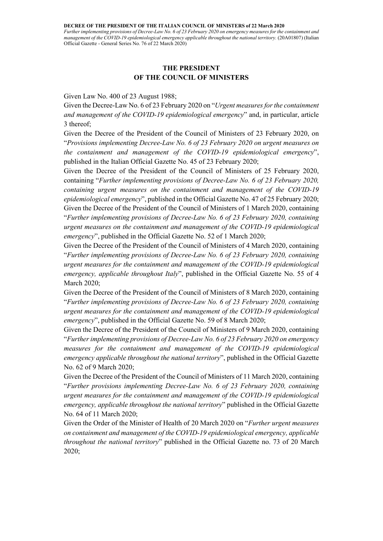Further implementing provisions of Decree-Law No. 6 of 23 February 2020 on emergency measures for the containment and management of the COVID-19 epidemiological emergency applicable throughout the national territory. (20A01807) (Italian Official Gazette - General Series No. 76 of 22 March 2020)

# THE PRESIDENT OF THE COUNCIL OF MINISTERS

# Given Law No. 400 of 23 August 1988;

Given the Decree-Law No. 6 of 23 February 2020 on "Urgent measures for the containment and management of the COVID-19 epidemiological emergency" and, in particular, article 3 thereof;

Given the Decree of the President of the Council of Ministers of 23 February 2020, on "Provisions implementing Decree-Law No. 6 of 23 February 2020 on urgent measures on the containment and management of the COVID-19 epidemiological emergency", published in the Italian Official Gazette No. 45 of 23 February 2020;

Given the Decree of the President of the Council of Ministers of 25 February 2020, containing "Further implementing provisions of Decree-Law No. 6 of 23 February 2020, containing urgent measures on the containment and management of the COVID-19 epidemiological emergency", published in the Official Gazette No. 47 of 25 February 2020; Given the Decree of the President of the Council of Ministers of 1 March 2020, containing "Further implementing provisions of Decree-Law No. 6 of 23 February 2020, containing urgent measures on the containment and management of the COVID-19 epidemiological emergency", published in the Official Gazette No. 52 of 1 March 2020;

Given the Decree of the President of the Council of Ministers of 4 March 2020, containing "Further implementing provisions of Decree-Law No. 6 of 23 February 2020, containing urgent measures for the containment and management of the COVID-19 epidemiological emergency, applicable throughout Italy", published in the Official Gazette No. 55 of 4 March 2020;

Given the Decree of the President of the Council of Ministers of 8 March 2020, containing "Further implementing provisions of Decree-Law No. 6 of 23 February 2020, containing urgent measures for the containment and management of the COVID-19 epidemiological emergency", published in the Official Gazette No. 59 of 8 March 2020;

Given the Decree of the President of the Council of Ministers of 9 March 2020, containing "Further implementing provisions of Decree-Law No. 6 of 23 February 2020 on emergency measures for the containment and management of the COVID-19 epidemiological emergency applicable throughout the national territory", published in the Official Gazette No. 62 of 9 March 2020;

Given the Decree of the President of the Council of Ministers of 11 March 2020, containing "Further provisions implementing Decree-Law No. 6 of 23 February 2020, containing urgent measures for the containment and management of the COVID-19 epidemiological emergency, applicable throughout the national territory" published in the Official Gazette No. 64 of 11 March 2020;

Given the Order of the Minister of Health of 20 March 2020 on "Further urgent measures on containment and management of the COVID-19 epidemiological emergency, applicable throughout the national territory" published in the Official Gazette no. 73 of 20 March 2020;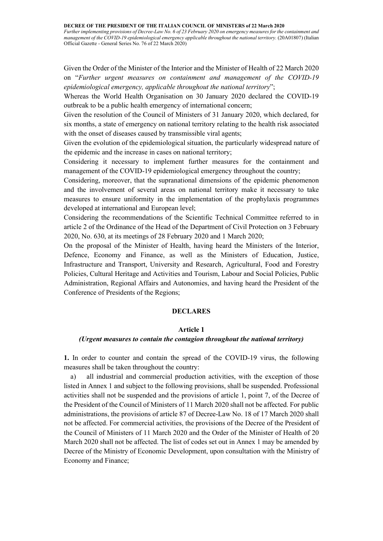Further implementing provisions of Decree-Law No. 6 of 23 February 2020 on emergency measures for the containment and management of the COVID-19 epidemiological emergency applicable throughout the national territory. (20A01807) (Italian Official Gazette - General Series No. 76 of 22 March 2020)

Given the Order of the Minister of the Interior and the Minister of Health of 22 March 2020 on "Further urgent measures on containment and management of the COVID-19 epidemiological emergency, applicable throughout the national territory";

Whereas the World Health Organisation on 30 January 2020 declared the COVID-19 outbreak to be a public health emergency of international concern;

Given the resolution of the Council of Ministers of 31 January 2020, which declared, for six months, a state of emergency on national territory relating to the health risk associated with the onset of diseases caused by transmissible viral agents;

Given the evolution of the epidemiological situation, the particularly widespread nature of the epidemic and the increase in cases on national territory;

Considering it necessary to implement further measures for the containment and management of the COVID-19 epidemiological emergency throughout the country;

Considering, moreover, that the supranational dimensions of the epidemic phenomenon and the involvement of several areas on national territory make it necessary to take measures to ensure uniformity in the implementation of the prophylaxis programmes developed at international and European level;

Considering the recommendations of the Scientific Technical Committee referred to in article 2 of the Ordinance of the Head of the Department of Civil Protection on 3 February 2020, No. 630, at its meetings of 28 February 2020 and 1 March 2020;

On the proposal of the Minister of Health, having heard the Ministers of the Interior, Defence, Economy and Finance, as well as the Ministers of Education, Justice, Infrastructure and Transport, University and Research, Agricultural, Food and Forestry Policies, Cultural Heritage and Activities and Tourism, Labour and Social Policies, Public Administration, Regional Affairs and Autonomies, and having heard the President of the Conference of Presidents of the Regions;

## DECLARES

# Article 1

## (Urgent measures to contain the contagion throughout the national territory)

1. In order to counter and contain the spread of the COVID-19 virus, the following measures shall be taken throughout the country:

a) all industrial and commercial production activities, with the exception of those listed in Annex 1 and subject to the following provisions, shall be suspended. Professional activities shall not be suspended and the provisions of article 1, point 7, of the Decree of the President of the Council of Ministers of 11 March 2020 shall not be affected. For public administrations, the provisions of article 87 of Decree-Law No. 18 of 17 March 2020 shall not be affected. For commercial activities, the provisions of the Decree of the President of the Council of Ministers of 11 March 2020 and the Order of the Minister of Health of 20 March 2020 shall not be affected. The list of codes set out in Annex 1 may be amended by Decree of the Ministry of Economic Development, upon consultation with the Ministry of Economy and Finance;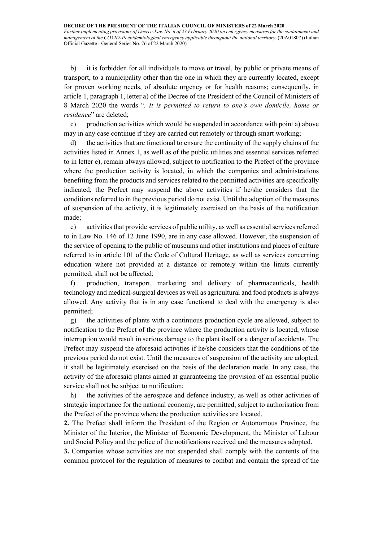b) it is forbidden for all individuals to move or travel, by public or private means of transport, to a municipality other than the one in which they are currently located, except for proven working needs, of absolute urgency or for health reasons; consequently, in article 1, paragraph 1, letter a) of the Decree of the President of the Council of Ministers of 8 March 2020 the words ". It is permitted to return to one's own domicile, home or residence" are deleted;

c) production activities which would be suspended in accordance with point a) above may in any case continue if they are carried out remotely or through smart working;

d) the activities that are functional to ensure the continuity of the supply chains of the activities listed in Annex 1, as well as of the public utilities and essential services referred to in letter e), remain always allowed, subject to notification to the Prefect of the province where the production activity is located, in which the companies and administrations benefiting from the products and services related to the permitted activities are specifically indicated; the Prefect may suspend the above activities if he/she considers that the conditions referred to in the previous period do not exist. Until the adoption of the measures of suspension of the activity, it is legitimately exercised on the basis of the notification made;

e) activities that provide services of public utility, as well as essential services referred to in Law No. 146 of 12 June 1990, are in any case allowed. However, the suspension of the service of opening to the public of museums and other institutions and places of culture referred to in article 101 of the Code of Cultural Heritage, as well as services concerning education where not provided at a distance or remotely within the limits currently permitted, shall not be affected;

f) production, transport, marketing and delivery of pharmaceuticals, health technology and medical-surgical devices as well as agricultural and food products is always allowed. Any activity that is in any case functional to deal with the emergency is also permitted;

g) the activities of plants with a continuous production cycle are allowed, subject to notification to the Prefect of the province where the production activity is located, whose interruption would result in serious damage to the plant itself or a danger of accidents. The Prefect may suspend the aforesaid activities if he/she considers that the conditions of the previous period do not exist. Until the measures of suspension of the activity are adopted, it shall be legitimately exercised on the basis of the declaration made. In any case, the activity of the aforesaid plants aimed at guaranteeing the provision of an essential public service shall not be subject to notification;

h) the activities of the aerospace and defence industry, as well as other activities of strategic importance for the national economy, are permitted, subject to authorisation from the Prefect of the province where the production activities are located.

2. The Prefect shall inform the President of the Region or Autonomous Province, the Minister of the Interior, the Minister of Economic Development, the Minister of Labour and Social Policy and the police of the notifications received and the measures adopted.

3. Companies whose activities are not suspended shall comply with the contents of the common protocol for the regulation of measures to combat and contain the spread of the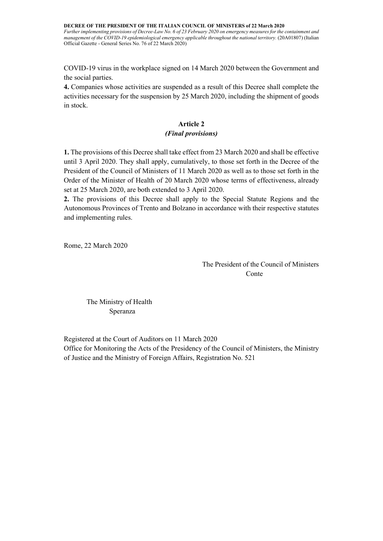DECREE OF THE PRESIDENT OF THE ITALIAN COUNCIL OF MINISTERS of 22 March 2020 Further implementing provisions of Decree-Law No. 6 of 23 February 2020 on emergency measures for the containment and management of the COVID-19 epidemiological emergency applicable throughout the national territory. (20A01807) (Italian Official Gazette - General Series No. 76 of 22 March 2020)

COVID-19 virus in the workplace signed on 14 March 2020 between the Government and the social parties.

4. Companies whose activities are suspended as a result of this Decree shall complete the activities necessary for the suspension by 25 March 2020, including the shipment of goods in stock.

# Article 2 (Final provisions)

1. The provisions of this Decree shall take effect from 23 March 2020 and shall be effective until 3 April 2020. They shall apply, cumulatively, to those set forth in the Decree of the President of the Council of Ministers of 11 March 2020 as well as to those set forth in the Order of the Minister of Health of 20 March 2020 whose terms of effectiveness, already set at 25 March 2020, are both extended to 3 April 2020.

2. The provisions of this Decree shall apply to the Special Statute Regions and the Autonomous Provinces of Trento and Bolzano in accordance with their respective statutes and implementing rules.

Rome, 22 March 2020

 The President of the Council of Ministers **Conte** 

The Ministry of Health Speranza

Registered at the Court of Auditors on 11 March 2020 Office for Monitoring the Acts of the Presidency of the Council of Ministers, the Ministry of Justice and the Ministry of Foreign Affairs, Registration No. 521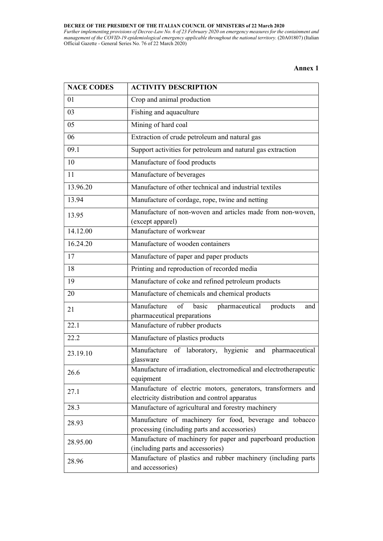Further implementing provisions of Decree-Law No. 6 of 23 February 2020 on emergency measures for the containment and management of the COVID-19 epidemiological emergency applicable throughout the national territory. (20A01807) (Italian Official Gazette - General Series No. 76 of 22 March 2020)

Annex 1

| <b>NACE CODES</b> | <b>ACTIVITY DESCRIPTION</b>                                                                                    |
|-------------------|----------------------------------------------------------------------------------------------------------------|
| 01                | Crop and animal production                                                                                     |
| 03                | Fishing and aquaculture                                                                                        |
| 05                | Mining of hard coal                                                                                            |
| 06                | Extraction of crude petroleum and natural gas                                                                  |
| 09.1              | Support activities for petroleum and natural gas extraction                                                    |
| 10                | Manufacture of food products                                                                                   |
| 11                | Manufacture of beverages                                                                                       |
| 13.96.20          | Manufacture of other technical and industrial textiles                                                         |
| 13.94             | Manufacture of cordage, rope, twine and netting                                                                |
| 13.95             | Manufacture of non-woven and articles made from non-woven,<br>(except apparel)                                 |
| 14.12.00          | Manufacture of workwear                                                                                        |
| 16.24.20          | Manufacture of wooden containers                                                                               |
| 17                | Manufacture of paper and paper products                                                                        |
| 18                | Printing and reproduction of recorded media                                                                    |
| 19                | Manufacture of coke and refined petroleum products                                                             |
| 20                | Manufacture of chemicals and chemical products                                                                 |
| 21                | Manufacture<br>of<br>basic<br>pharmaceutical<br>products<br>and<br>pharmaceutical preparations                 |
| 22.1              | Manufacture of rubber products                                                                                 |
| 22.2              | Manufacture of plastics products                                                                               |
| 23.19.10          | Manufacture of laboratory, hygienic and pharmaceutical<br>glassware                                            |
| 26.6              | Manufacture of irradiation, electromedical and electrotherapeutic<br>equipment                                 |
| 27.1              | Manufacture of electric motors, generators, transformers and<br>electricity distribution and control apparatus |
| 28.3              | Manufacture of agricultural and forestry machinery                                                             |
| 28.93             | Manufacture of machinery for food, beverage and tobacco<br>processing (including parts and accessories)        |
| 28.95.00          | Manufacture of machinery for paper and paperboard production<br>(including parts and accessories)              |
| 28.96             | Manufacture of plastics and rubber machinery (including parts<br>and accessories)                              |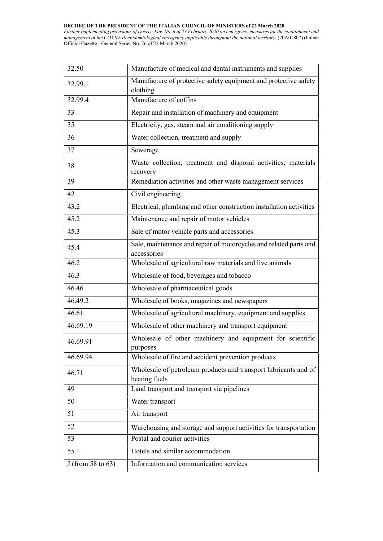Further implementing provisions of Decree-Law No. 6 of 23 February 2020 on emergency measures for the containment and management of the COVID-19 epidemiological emergency applicable throughout the national territory. (20A01807) (Italian Official Gazette - General Series No. 76 of 22 March 2020)

| 32.50                | Manufacture of medical and dental instruments and supplies                       |
|----------------------|----------------------------------------------------------------------------------|
| 32.99.1              | Manufacture of protective safety equipment and protective safety<br>clothing     |
| 32.99.4              | Manufacture of coffins                                                           |
| 33                   | Repair and installation of machinery and equipment                               |
| 35                   | Electricity, gas, steam and air conditioning supply                              |
| 36                   | Water collection, treatment and supply                                           |
| 37                   | Sewerage                                                                         |
| 38                   | Waste collection, treatment and disposal activities; materials<br>recovery       |
| 39                   | Remediation activities and other waste management services                       |
| 42                   | Civil engineering                                                                |
| 43.2                 | Electrical, plumbing and other construction installation activities              |
| 45.2                 | Maintenance and repair of motor vehicles                                         |
| 45.3                 | Sale of motor vehicle parts and accessories                                      |
| 45.4                 | Sale, maintenance and repair of motorcycles and related parts and<br>accessories |
| 46.2                 | Wholesale of agricultural raw materials and live animals                         |
| 46.3                 | Wholesale of food, beverages and tobacco                                         |
| 46.46                | Wholesale of pharmaceutical goods                                                |
| 46.49.2              | Wholesale of books, magazines and newspapers                                     |
| 46.61                | Wholesale of agricultural machinery, equipment and supplies                      |
| 46.69.19             | Wholesale of other machinery and transport equipment                             |
| 46.69.91             | Wholesale of other machinery and equipment for scientific<br>purposes            |
| 46.69.94             | Wholesale of fire and accident prevention products                               |
| 46.71                | Wholesale of petroleum products and transport lubricants and of<br>heating fuels |
| 49                   | Land transport and transport via pipelines                                       |
| 50                   | Water transport                                                                  |
| 51                   | Air transport                                                                    |
| 52                   | Warehousing and storage and support activities for transportation                |
| 53                   | Postal and courier activities                                                    |
| 55.1                 | Hotels and similar accommodation                                                 |
| J (from 58 to $63$ ) | Information and communication services                                           |